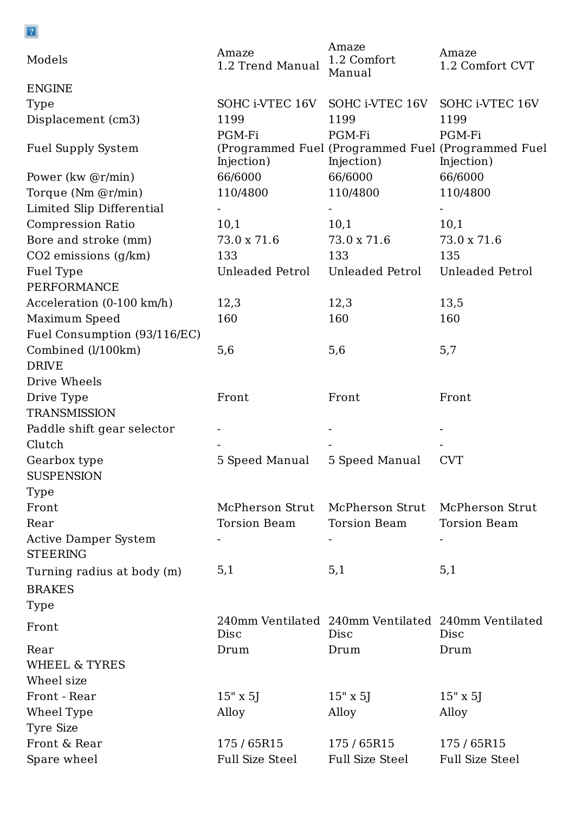| $\sqrt{2}$                   |                           |                                                      |                                                                  |
|------------------------------|---------------------------|------------------------------------------------------|------------------------------------------------------------------|
| Models                       | Amaze<br>1.2 Trend Manual | Amaze<br>1.2 Comfort<br>Manual                       | Amaze<br>1.2 Comfort CVT                                         |
| <b>ENGINE</b>                |                           |                                                      |                                                                  |
| Type                         | SOHC i-VTEC 16V           | SOHC i-VTEC 16V                                      | SOHC i-VTEC 16V                                                  |
| Displacement (cm3)           | 1199                      | 1199                                                 | 1199                                                             |
|                              | PGM-Fi                    | PGM-Fi                                               | PGM-Fi                                                           |
| <b>Fuel Supply System</b>    | Injection)                | Injection)                                           | (Programmed Fuel (Programmed Fuel (Programmed Fuel<br>Injection) |
| Power (kw @r/min)            | 66/6000                   | 66/6000                                              | 66/6000                                                          |
| Torque (Nm @r/min)           | 110/4800                  | 110/4800                                             | 110/4800                                                         |
| Limited Slip Differential    |                           |                                                      |                                                                  |
| <b>Compression Ratio</b>     | 10,1                      | 10,1                                                 | 10,1                                                             |
| Bore and stroke (mm)         | 73.0 x 71.6               | 73.0 x 71.6                                          | 73.0 x 71.6                                                      |
| $CO2$ emissions $(g/km)$     | 133                       | 133                                                  | 135                                                              |
| Fuel Type                    | Unleaded Petrol           | Unleaded Petrol                                      | Unleaded Petrol                                                  |
| PERFORMANCE                  |                           |                                                      |                                                                  |
| Acceleration (0-100 km/h)    | 12,3                      | 12,3                                                 | 13,5                                                             |
| Maximum Speed                | 160                       | 160                                                  | 160                                                              |
| Fuel Consumption (93/116/EC) |                           |                                                      |                                                                  |
| Combined (l/100km)           | 5,6                       | 5,6                                                  | 5,7                                                              |
| <b>DRIVE</b>                 |                           |                                                      |                                                                  |
| Drive Wheels                 |                           |                                                      |                                                                  |
| Drive Type                   | Front                     | Front                                                | Front                                                            |
| <b>TRANSMISSION</b>          |                           |                                                      |                                                                  |
| Paddle shift gear selector   |                           |                                                      |                                                                  |
| Clutch                       |                           |                                                      |                                                                  |
| Gearbox type                 | 5 Speed Manual            | 5 Speed Manual                                       | <b>CVT</b>                                                       |
| <b>SUSPENSION</b>            |                           |                                                      |                                                                  |
| Type                         |                           |                                                      |                                                                  |
| Front                        | McPherson Strut           | McPherson Strut                                      | McPherson Strut                                                  |
| Rear                         | Torsion Beam              | <b>Torsion Beam</b>                                  | <b>Torsion Beam</b>                                              |
| <b>Active Damper System</b>  |                           |                                                      |                                                                  |
| <b>STEERING</b>              |                           |                                                      |                                                                  |
| Turning radius at body (m)   | 5,1                       | 5,1                                                  | 5,1                                                              |
| <b>BRAKES</b>                |                           |                                                      |                                                                  |
| Type                         |                           |                                                      |                                                                  |
|                              |                           | 240mm Ventilated  240mm Ventilated  240mm Ventilated |                                                                  |
| Front                        | Disc                      | Disc                                                 | Disc                                                             |
| Rear                         | Drum                      | Drum                                                 | Drum                                                             |
| WHEEL & TYRES                |                           |                                                      |                                                                  |
| Wheel size                   |                           |                                                      |                                                                  |
| Front - Rear                 | $15" \times 5$            | $15" \times 5$                                       | $15" \times 5$                                                   |
| Wheel Type                   | Alloy                     | Alloy                                                | Alloy                                                            |
| Tyre Size                    |                           |                                                      |                                                                  |
| Front & Rear                 | 175 / 65R15               | 175/65R15                                            | 175/65R15                                                        |
| Spare wheel                  | <b>Full Size Steel</b>    | <b>Full Size Steel</b>                               | <b>Full Size Steel</b>                                           |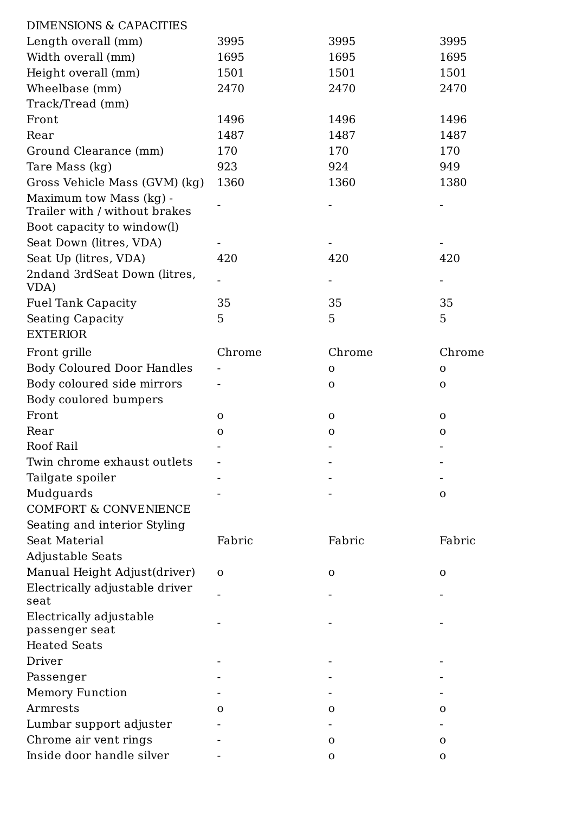| <b>DIMENSIONS &amp; CAPACITIES</b>                       |              |              |              |
|----------------------------------------------------------|--------------|--------------|--------------|
| Length overall (mm)                                      | 3995         | 3995         | 3995         |
| Width overall (mm)                                       | 1695         | 1695         | 1695         |
| Height overall (mm)                                      | 1501         | 1501         | 1501         |
| Wheelbase (mm)                                           | 2470         | 2470         | 2470         |
| Track/Tread (mm)                                         |              |              |              |
| Front                                                    | 1496         | 1496         | 1496         |
| Rear                                                     | 1487         | 1487         | 1487         |
| Ground Clearance (mm)                                    | 170          | 170          | 170          |
| Tare Mass (kg)                                           | 923          | 924          | 949          |
| Gross Vehicle Mass (GVM) (kg)                            | 1360         | 1360         | 1380         |
| Maximum tow Mass (kg) -<br>Trailer with / without brakes |              |              |              |
| Boot capacity to window(l)                               |              |              |              |
| Seat Down (litres, VDA)                                  |              |              |              |
| Seat Up (litres, VDA)                                    | 420          | 420          | 420          |
| 2ndand 3rdSeat Down (litres,<br>VDA)                     |              |              |              |
| <b>Fuel Tank Capacity</b>                                | 35           | 35           | 35           |
| <b>Seating Capacity</b><br><b>EXTERIOR</b>               | 5            | 5            | 5            |
| Front grille                                             | Chrome       | Chrome       | Chrome       |
| <b>Body Coloured Door Handles</b>                        |              | $\mathbf{O}$ | $\mathbf{O}$ |
| Body coloured side mirrors                               |              | $\mathbf{O}$ | $\mathbf 0$  |
| Body coulored bumpers                                    |              |              |              |
| Front                                                    | $\mathbf{O}$ | $\mathbf 0$  | $\mathbf 0$  |
| Rear                                                     | $\mathbf{O}$ | $\mathbf 0$  | $\mathbf 0$  |
| Roof Rail                                                |              |              |              |
| Twin chrome exhaust outlets                              |              |              |              |
| Tailgate spoiler                                         |              |              |              |
| Mudguards                                                |              |              | $\mathbf{O}$ |
| <b>COMFORT &amp; CONVENIENCE</b>                         |              |              |              |
| Seating and interior Styling                             |              |              |              |
| Seat Material                                            | Fabric       | Fabric       | Fabric       |
| Adjustable Seats                                         |              |              |              |
| Manual Height Adjust(driver)                             | $\mathbf{O}$ | $\mathbf 0$  | $\mathbf{O}$ |
| Electrically adjustable driver<br>seat                   |              |              |              |

Electrically adjustable passenger seat - - - Heated Seats Driver - - - Passenger - - - Memory Function - The settlement of the settlement of the settlement of the settlement of the settlement of the settlement of the settlement of the settlement of the settlement of the settlement of the settlement of the se Armrests o o o Lumbar support adjuster - - -  $\begin{array}{cccccccccc} \text{Chrome air vent rings} & & - & & & & 0 & & & \hline \end{array}$ Inside door handle silver - o o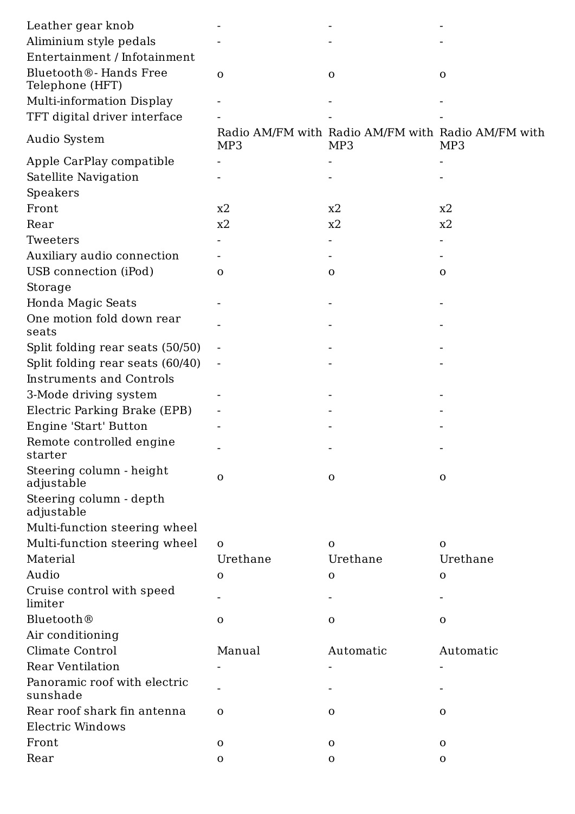| Leather gear knob                                      |                |                                                           |              |
|--------------------------------------------------------|----------------|-----------------------------------------------------------|--------------|
| Aliminium style pedals                                 |                |                                                           |              |
| Entertainment / Infotainment                           |                |                                                           |              |
| Bluetooth <sup>®</sup> - Hands Free<br>Telephone (HFT) | $\mathbf{O}$   | $\mathbf 0$                                               | $\mathbf 0$  |
| <b>Multi-information Display</b>                       |                |                                                           |              |
| TFT digital driver interface                           |                |                                                           |              |
| Audio System                                           | MP3            | Radio AM/FM with Radio AM/FM with Radio AM/FM with<br>MP3 | MP3          |
| Apple CarPlay compatible                               |                |                                                           |              |
| Satellite Navigation                                   |                |                                                           |              |
| Speakers                                               |                |                                                           |              |
| Front                                                  | x2             | x2                                                        | x2           |
| Rear                                                   | x2             | x2                                                        | x2           |
| Tweeters                                               |                |                                                           |              |
| Auxiliary audio connection                             |                |                                                           |              |
| USB connection (iPod)                                  | $\mathbf{O}$   | $\mathbf 0$                                               | $\mathbf 0$  |
| Storage                                                |                |                                                           |              |
| Honda Magic Seats                                      |                |                                                           |              |
| One motion fold down rear<br>seats                     |                |                                                           |              |
| Split folding rear seats (50/50)                       |                |                                                           |              |
| Split folding rear seats (60/40)                       | $\blacksquare$ |                                                           |              |
| <b>Instruments and Controls</b>                        |                |                                                           |              |
| 3-Mode driving system                                  |                |                                                           |              |
| Electric Parking Brake (EPB)                           |                |                                                           |              |
| Engine 'Start' Button                                  |                |                                                           |              |
| Remote controlled engine<br>starter                    |                |                                                           |              |
| Steering column - height<br>adjustable                 | $\mathbf{O}$   | $\mathbf 0$                                               | $\mathbf 0$  |
| Steering column - depth<br>adjustable                  |                |                                                           |              |
| Multi-function steering wheel                          |                |                                                           |              |
| Multi-function steering wheel                          | $\mathbf{O}$   | $\mathbf{O}$                                              | $\mathbf{O}$ |
| Material                                               | Urethane       | Urethane                                                  | Urethane     |
| Audio                                                  | $\mathbf 0$    | $\mathbf{O}$                                              | $\mathbf 0$  |
| Cruise control with speed<br>limiter                   |                |                                                           |              |
| <b>Bluetooth®</b>                                      | O              | O                                                         | O            |
| Air conditioning                                       |                |                                                           |              |
| Climate Control                                        | Manual         | Automatic                                                 | Automatic    |
| <b>Rear Ventilation</b>                                |                |                                                           |              |
| Panoramic roof with electric<br>sunshade               |                |                                                           |              |
| Rear roof shark fin antenna                            | $\mathbf{O}$   | $\mathbf 0$                                               | $\mathbf 0$  |
| Electric Windows                                       |                |                                                           |              |
| Front                                                  | $\mathbf{O}$   | $\mathbf{O}$                                              | $\mathbf 0$  |
| Rear                                                   | $\mathbf{O}$   | $\mathbf{O}$                                              | $\mathbf{O}$ |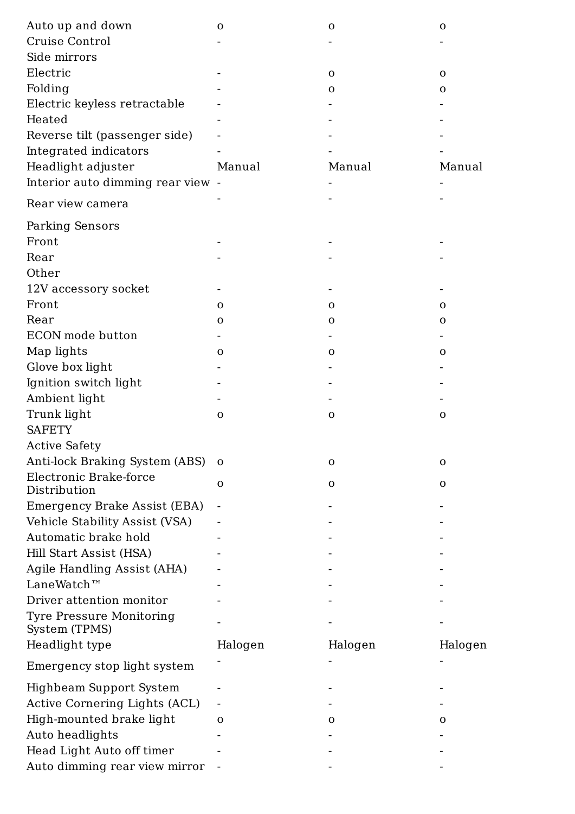| Auto up and down                       | $\mathbf{O}$ | $\mathbf 0$  | $\mathbf 0$  |
|----------------------------------------|--------------|--------------|--------------|
| <b>Cruise Control</b>                  |              |              |              |
| Side mirrors                           |              |              |              |
| Electric                               |              | $\mathbf{O}$ | $\mathbf{O}$ |
| Folding                                |              | $\mathbf{O}$ | $\mathbf 0$  |
| Electric keyless retractable           |              |              |              |
| Heated                                 |              |              |              |
| Reverse tilt (passenger side)          |              |              |              |
| Integrated indicators                  |              |              |              |
| Headlight adjuster                     | Manual       | Manual       | Manual       |
| Interior auto dimming rear view -      |              |              |              |
| Rear view camera                       |              |              |              |
| <b>Parking Sensors</b>                 |              |              |              |
| Front                                  |              |              |              |
| Rear                                   |              |              |              |
| Other                                  |              |              |              |
| 12V accessory socket                   |              |              |              |
| Front                                  | Ω            | $\Omega$     | O            |
| Rear                                   | $\mathbf 0$  | O            | $\mathbf 0$  |
| ECON mode button                       |              |              |              |
| Map lights                             | O            | $\Omega$     | O            |
| Glove box light                        |              |              |              |
| Ignition switch light                  |              |              |              |
| Ambient light                          |              |              |              |
| Trunk light                            | $\mathbf 0$  | $\mathbf 0$  | $\mathbf 0$  |
| <b>SAFETY</b>                          |              |              |              |
| <b>Active Safety</b>                   |              |              |              |
| <b>Anti-lock Braking System (ABS)</b>  | $\mathbf 0$  | $\mathbf{O}$ | $\mathbf 0$  |
| Electronic Brake-force<br>Distribution | O            | O            | O            |
| Emergency Brake Assist (EBA)           |              |              |              |
| Vehicle Stability Assist (VSA)         |              |              |              |
| Automatic brake hold                   |              |              |              |
| Hill Start Assist (HSA)                |              |              |              |
| Agile Handling Assist (AHA)            |              |              |              |
| LaneWatch™                             |              |              |              |
| Driver attention monitor               |              |              |              |
| Drocouro Monitorin                     |              |              |              |

Tyre Pressure Monitoring System (TPMS) Headlight type Halogen Halogen Halogen Halogen Halogen

- - -

Emergency stop light system

- - -

Highbeam Support System - - - Active Cornering Lights (ACL) - - - High-mounted brake light o o o Auto headlights - - - Head Light Auto off timer - - -

Auto dimming rear view mirror -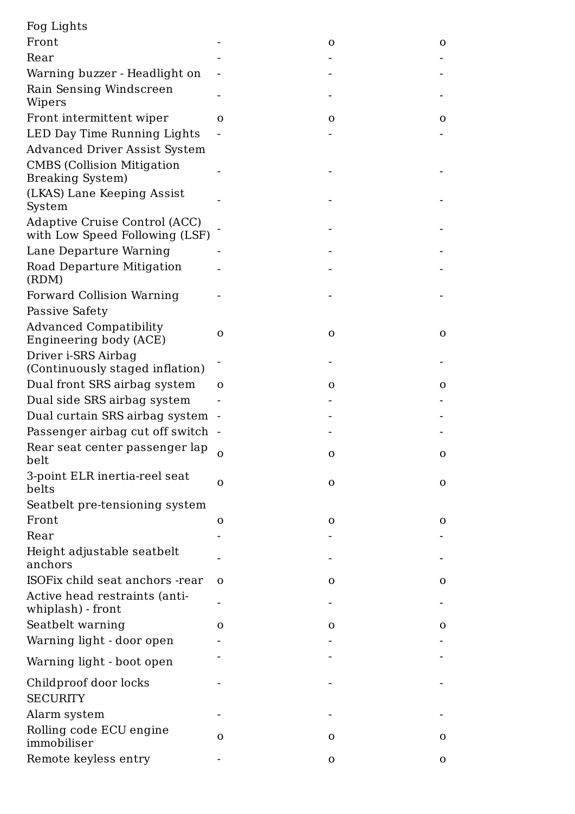| Fog Lights                                                      |             |              |              |
|-----------------------------------------------------------------|-------------|--------------|--------------|
| Front                                                           |             | $\mathbf{O}$ | $\mathbf 0$  |
| Rear                                                            |             |              |              |
| Warning buzzer - Headlight on                                   |             |              |              |
| Rain Sensing Windscreen                                         |             |              |              |
| Wipers                                                          |             |              |              |
| Front intermittent wiper                                        | O           | $\mathbf{O}$ | O            |
| LED Day Time Running Lights                                     |             |              |              |
| <b>Advanced Driver Assist System</b>                            |             |              |              |
| <b>CMBS</b> (Collision Mitigation                               |             |              |              |
| <b>Breaking System</b> )                                        |             |              |              |
| (LKAS) Lane Keeping Assist<br>System                            |             |              |              |
| Adaptive Cruise Control (ACC)<br>with Low Speed Following (LSF) |             |              |              |
| Lane Departure Warning                                          |             |              |              |
| Road Departure Mitigation<br>(RDM)                              |             |              |              |
| Forward Collision Warning                                       |             |              |              |
| Passive Safety                                                  |             |              |              |
| <b>Advanced Compatibility</b><br><b>Engineering body (ACE)</b>  | O           | $\mathbf{O}$ | $\mathbf{O}$ |
| Driver i-SRS Airbag<br>(Continuously staged inflation)          |             |              |              |
| Dual front SRS airbag system                                    | $\Omega$    | $\mathbf{O}$ | $\mathbf 0$  |
| Dual side SRS airbag system                                     |             |              |              |
| Dual curtain SRS airbag system                                  |             |              |              |
| Passenger airbag cut off switch                                 |             |              |              |
| Rear seat center passenger lap<br>belt                          | $\mathbf O$ | $\mathbf{O}$ | $\mathbf{O}$ |
| 3-point ELR inertia-reel seat<br>belts                          | $\Omega$    | $\mathbf{O}$ | $\mathbf{O}$ |
| Seatbelt pre-tensioning system                                  |             |              |              |
| Front                                                           | $\mathbf 0$ | $\mathbf 0$  | $\mathbf 0$  |
| Rear                                                            |             |              |              |
| Height adjustable seatbelt                                      |             |              |              |
| anchors                                                         |             |              |              |
| ISOFix child seat anchors -rear                                 | $\Omega$    | $\mathbf{O}$ | $\mathbf{O}$ |
| Active head restraints (anti-<br>whiplash) - front              |             |              |              |

Childproof door locks S E C U R IT Y

Alarm system

Rolling code ECU engine i m m o b i l i s e r

Remote keyless entry

o

o

o

-

-

-

-

-

-

-

 $\blacksquare$ 

-

 $\blacksquare$ 

-

-

o

o

o

-

o

o

Seatbelt warning Warning light - door open

Warning light - boot open